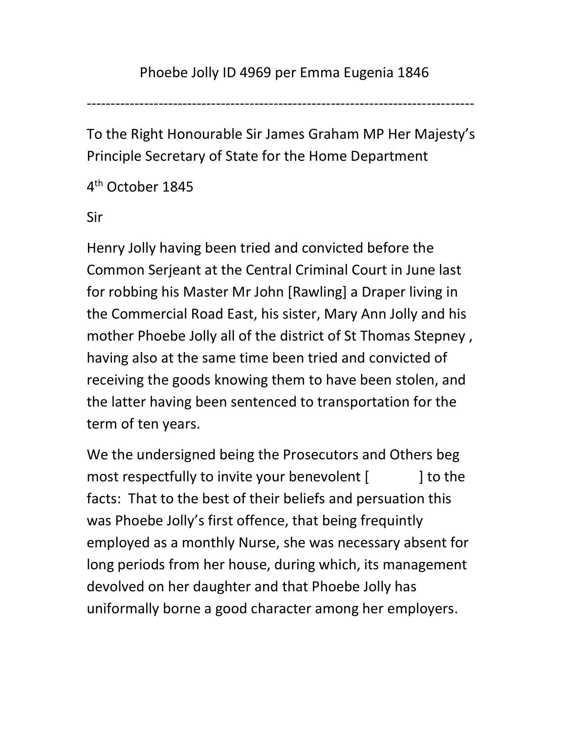---------------------------------------------------------------------------------

To the Right Honourable Sir James Graham MP Her Majesty's Principle Secretary of State for the Home Department

4 th October 1845

Sir

Henry Jolly having been tried and convicted before the Common Serjeant at the Central Criminal Court in June last for robbing his Master Mr John [Rawling] a Draper living in the Commercial Road East, his sister, Mary Ann Jolly and his mother Phoebe Jolly all of the district of St Thomas Stepney , having also at the same time been tried and convicted of receiving the goods knowing them to have been stolen, and the latter having been sentenced to transportation for the term of ten years.

We the undersigned being the Prosecutors and Others beg most respectfully to invite your benevolent [  $\qquad$  ] to the facts: That to the best of their beliefs and persuation this was Phoebe Jolly's first offence, that being frequintly employed as a monthly Nurse, she was necessary absent for long periods from her house, during which, its management devolved on her daughter and that Phoebe Jolly has uniformally borne a good character among her employers.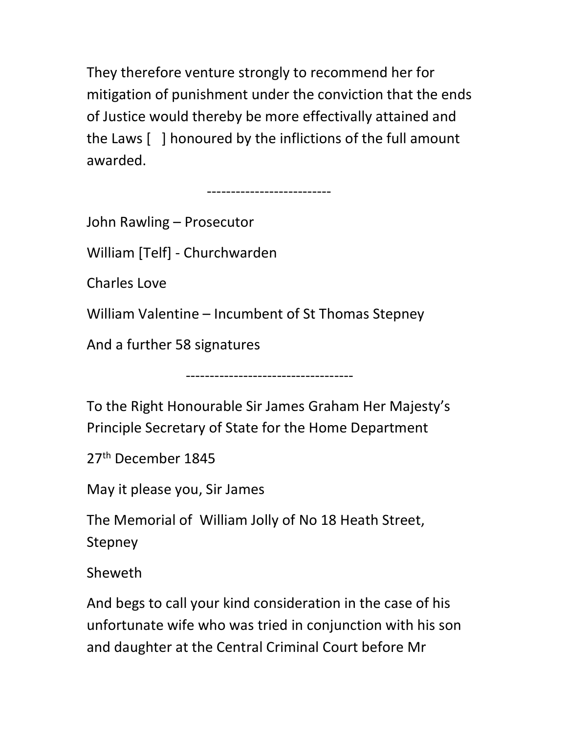They therefore venture strongly to recommend her for mitigation of punishment under the conviction that the ends of Justice would thereby be more effectivally attained and the Laws [ ] honoured by the inflictions of the full amount awarded.

--------------------------

John Rawling – Prosecutor

William [Telf] - Churchwarden

Charles Love

William Valentine – Incumbent of St Thomas Stepney

And a further 58 signatures

To the Right Honourable Sir James Graham Her Majesty's Principle Secretary of State for the Home Department

-----------------------------------

27<sup>th</sup> December 1845

May it please you, Sir James

The Memorial of William Jolly of No 18 Heath Street, Stepney

Sheweth

And begs to call your kind consideration in the case of his unfortunate wife who was tried in conjunction with his son and daughter at the Central Criminal Court before Mr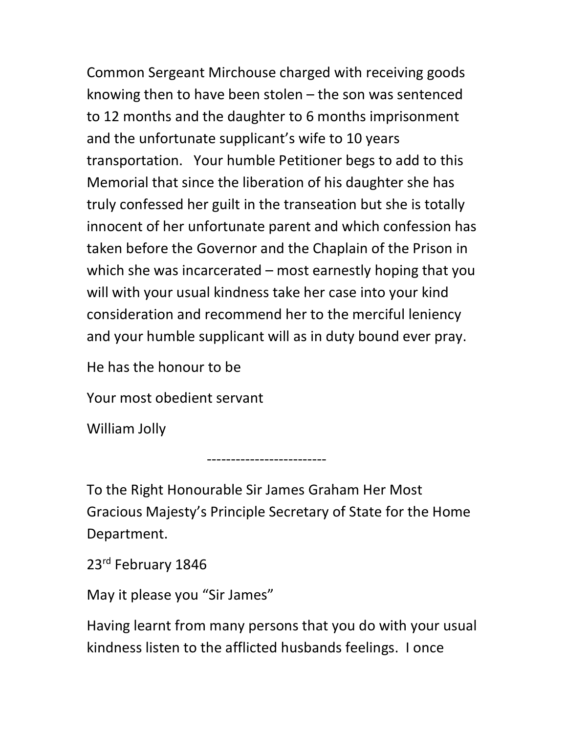Common Sergeant Mirchouse charged with receiving goods knowing then to have been stolen – the son was sentenced to 12 months and the daughter to 6 months imprisonment and the unfortunate supplicant's wife to 10 years transportation. Your humble Petitioner begs to add to this Memorial that since the liberation of his daughter she has truly confessed her guilt in the transeation but she is totally innocent of her unfortunate parent and which confession has taken before the Governor and the Chaplain of the Prison in which she was incarcerated – most earnestly hoping that you will with your usual kindness take her case into your kind consideration and recommend her to the merciful leniency and your humble supplicant will as in duty bound ever pray.

He has the honour to be

Your most obedient servant

-------------------------

William Jolly

To the Right Honourable Sir James Graham Her Most Gracious Majesty's Principle Secretary of State for the Home Department.

23rd February 1846

May it please you "Sir James"

Having learnt from many persons that you do with your usual kindness listen to the afflicted husbands feelings. I once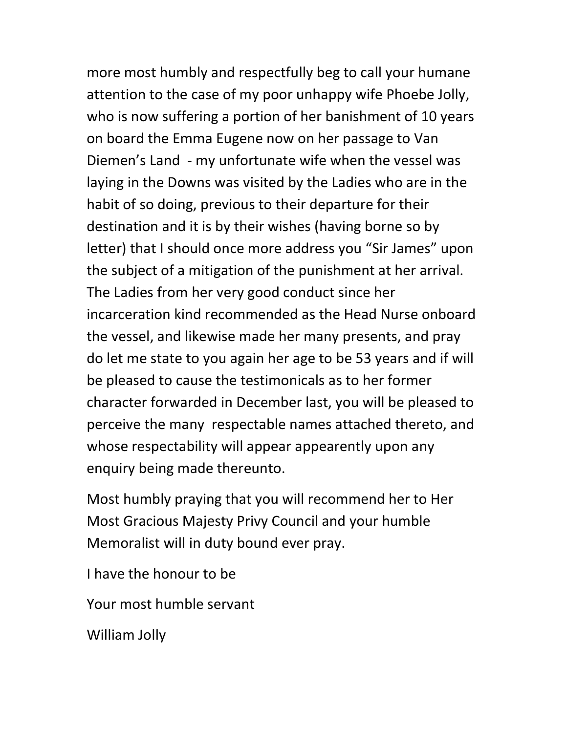more most humbly and respectfully beg to call your humane attention to the case of my poor unhappy wife Phoebe Jolly, who is now suffering a portion of her banishment of 10 years on board the Emma Eugene now on her passage to Van Diemen's Land - my unfortunate wife when the vessel was laying in the Downs was visited by the Ladies who are in the habit of so doing, previous to their departure for their destination and it is by their wishes (having borne so by letter) that I should once more address you "Sir James" upon the subject of a mitigation of the punishment at her arrival. The Ladies from her very good conduct since her incarceration kind recommended as the Head Nurse onboard the vessel, and likewise made her many presents, and pray do let me state to you again her age to be 53 years and if will be pleased to cause the testimonicals as to her former character forwarded in December last, you will be pleased to perceive the many respectable names attached thereto, and whose respectability will appear appearently upon any enquiry being made thereunto.

Most humbly praying that you will recommend her to Her Most Gracious Majesty Privy Council and your humble Memoralist will in duty bound ever pray.

I have the honour to be

Your most humble servant

William Jolly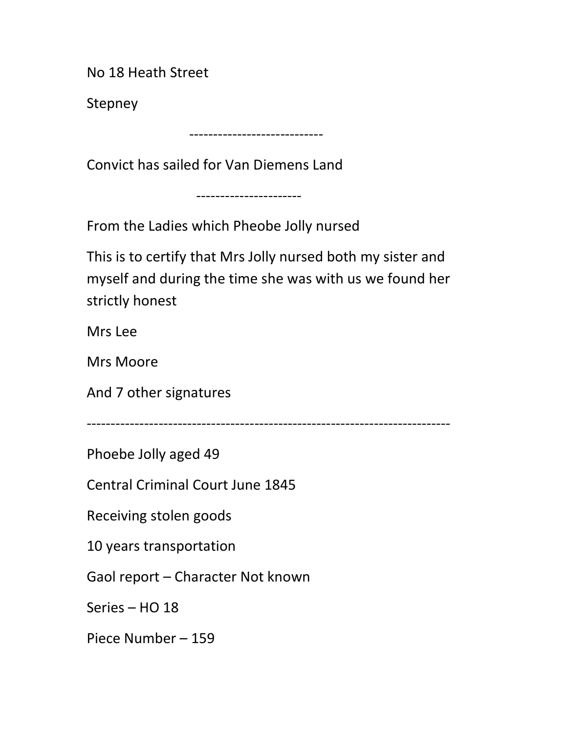No 18 Heath Street

Stepney

----------------------------

Convict has sailed for Van Diemens Land

----------------------

From the Ladies which Pheobe Jolly nursed

This is to certify that Mrs Jolly nursed both my sister and myself and during the time she was with us we found her strictly honest

Mrs Lee

Mrs Moore

And 7 other signatures

----------------------------------------------------------------------------

Phoebe Jolly aged 49

Central Criminal Court June 1845

Receiving stolen goods

10 years transportation

Gaol report – Character Not known

Series – HO 18

Piece Number – 159